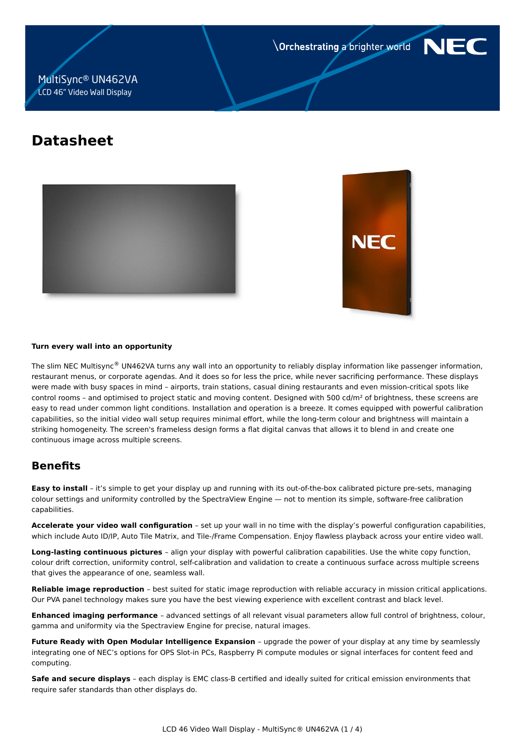**Orchestrating a brighter world** 



# MultiSync® UN462VA LCD 46" Video Wall Display

# **Datasheet**





#### **Turn every wall into an opportunity**

The slim NEC Multisync® UN462VA turns any wall into an opportunity to reliably display information like passenger information, restaurant menus, or corporate agendas. And it does so for less the price, while never sacrificing performance. These displays were made with busy spaces in mind – airports, train stations, casual dining restaurants and even mission-critical spots like control rooms - and optimised to project static and moving content. Designed with 500 cd/m<sup>2</sup> of brightness, these screens are easy to read under common light conditions. Installation and operation is a breeze. It comes equipped with powerful calibration capabilities, so the initial video wall setup requires minimal effort, while the long-term colour and brightness will maintain a striking homogeneity. The screen's frameless design forms a flat digital canvas that allows it to blend in and create one continuous image across multiple screens.

# **Benefits**

**Easy to install** – it's simple to get your display up and running with its out-of-the-box calibrated picture pre-sets, managing colour settings and uniformity controlled by the SpectraView Engine — not to mention its simple, software-free calibration capabilities.

**Accelerate your video wall configuration** – set up your wall in no time with the display's powerful configuration capabilities, which include Auto ID/IP, Auto Tile Matrix, and Tile-/Frame Compensation. Enjoy flawless playback across your entire video wall.

**Long-lasting continuous pictures** – align your display with powerful calibration capabilities. Use the white copy function, colour drift correction, uniformity control, self-calibration and validation to create a continuous surface across multiple screens that gives the appearance of one, seamless wall.

**Reliable image reproduction** – best suited for static image reproduction with reliable accuracy in mission critical applications. Our PVA panel technology makes sure you have the best viewing experience with excellent contrast and black level.

**Enhanced imaging performance** – advanced settings of all relevant visual parameters allow full control of brightness, colour, gamma and uniformity via the Spectraview Engine for precise, natural images.

**Future Ready with Open Modular Intelligence Expansion** – upgrade the power of your display at any time by seamlessly integrating one of NEC's options for OPS Slot-in PCs, Raspberry Pi compute modules or signal interfaces for content feed and computing.

**Safe and secure displays** – each display is EMC class-B certified and ideally suited for critical emission environments that require safer standards than other displays do.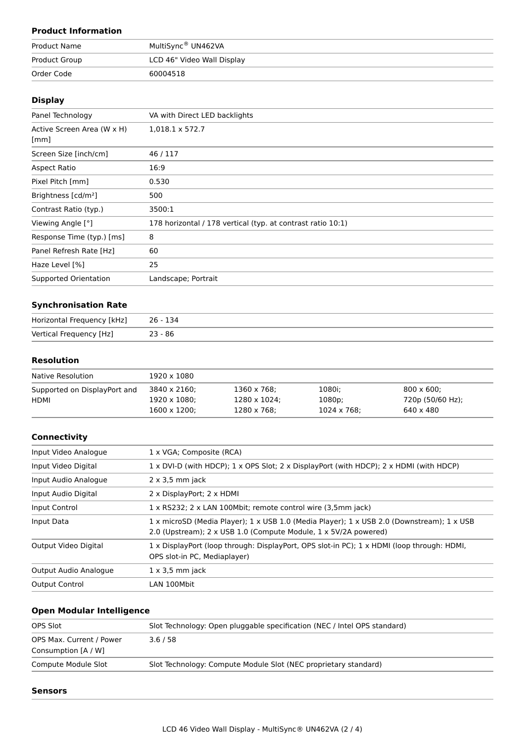## **Product Information**

| Product Name  | MultiSync® UN462VA         |  |  |  |
|---------------|----------------------------|--|--|--|
| Product Group | LCD 46" Video Wall Display |  |  |  |
| Order Code    | 60004518                   |  |  |  |

### **Display**

| Panel Technology                   | VA with Direct LED backlights                               |
|------------------------------------|-------------------------------------------------------------|
| Active Screen Area (W x H)<br>[mm] | 1,018.1 x 572.7                                             |
|                                    |                                                             |
| Screen Size [inch/cm]              | 46/117                                                      |
| Aspect Ratio                       | 16:9                                                        |
| Pixel Pitch [mm]                   | 0.530                                                       |
| Brightness [cd/m <sup>2</sup> ]    | 500                                                         |
| Contrast Ratio (typ.)              | 3500:1                                                      |
| Viewing Angle [°]                  | 178 horizontal / 178 vertical (typ. at contrast ratio 10:1) |
| Response Time (typ.) [ms]          | 8                                                           |
| Panel Refresh Rate [Hz]            | 60                                                          |
| Haze Level [%]                     | 25                                                          |
| Supported Orientation              | Landscape; Portrait                                         |

## **Synchronisation Rate**

| Horizontal Frequency [kHz] | 26 - 134  |
|----------------------------|-----------|
| Vertical Frequency [Hz]    | $23 - 86$ |

## **Resolution**

| Native Resolution            | 1920 x 1080          |              |             |                    |
|------------------------------|----------------------|--------------|-------------|--------------------|
| Supported on DisplayPort and | 3840 x 2160;         | 1360 x 768;  | 1080i;      | $800 \times 600$ : |
| HDMI                         | $1920 \times 1080$ : | 1280 x 1024: | 1080p;      | 720p (50/60 Hz);   |
|                              | $1600 \times 1200$ : | 1280 x 768;  | 1024 x 768; | 640 x 480          |

### **Connectivity**

| Input Video Analogue  | 1 x VGA; Composite (RCA)                                                                                                                                     |
|-----------------------|--------------------------------------------------------------------------------------------------------------------------------------------------------------|
| Input Video Digital   | 1 x DVI-D (with HDCP); 1 x OPS Slot; 2 x DisplayPort (with HDCP); 2 x HDMI (with HDCP)                                                                       |
| Input Audio Analogue  | $2 \times 3.5$ mm jack                                                                                                                                       |
| Input Audio Digital   | 2 x DisplayPort; 2 x HDMI                                                                                                                                    |
| Input Control         | 1 x RS232; 2 x LAN 100Mbit; remote control wire (3,5mm jack)                                                                                                 |
| Input Data            | 1 x microSD (Media Player); 1 x USB 1.0 (Media Player); 1 x USB 2.0 (Downstream); 1 x USB<br>2.0 (Upstream); 2 x USB 1.0 (Compute Module, 1 x 5V/2A powered) |
| Output Video Digital  | 1 x DisplayPort (loop through: DisplayPort, OPS slot-in PC); 1 x HDMI (loop through: HDMI,<br>OPS slot-in PC, Mediaplayer)                                   |
| Output Audio Analogue | $1 \times 3.5$ mm jack                                                                                                                                       |
| <b>Output Control</b> | LAN 100Mbit                                                                                                                                                  |

## **Open Modular Intelligence**

| OPS Slot                 | Slot Technology: Open pluggable specification (NEC / Intel OPS standard) |
|--------------------------|--------------------------------------------------------------------------|
| OPS Max. Current / Power | 3.6/58                                                                   |
| Consumption [A / W]      |                                                                          |
| Compute Module Slot      | Slot Technology: Compute Module Slot (NEC proprietary standard)          |
|                          |                                                                          |

#### **Sensors**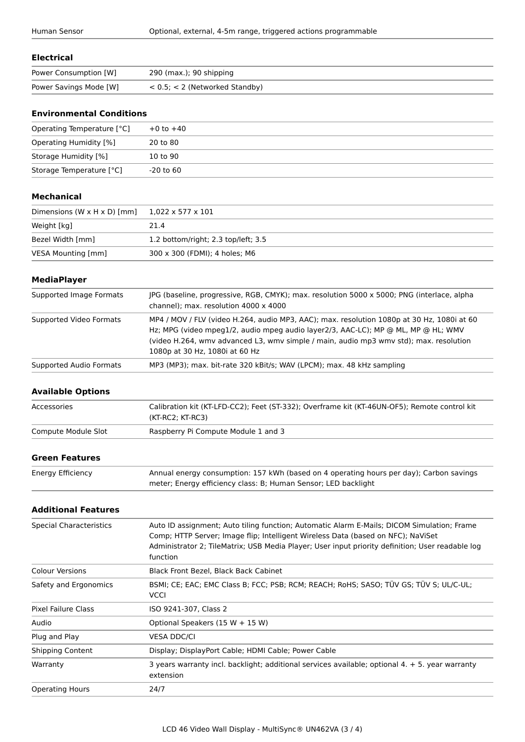#### **Electrical**

| Power Consumption [W]  | 290 (max.); 90 shipping             |
|------------------------|-------------------------------------|
| Power Savings Mode [W] | $< 0.5$ ; $< 2$ (Networked Standby) |

## **Environmental Conditions**

| Operating Temperature [°C] | $+0$ to $+40$ |
|----------------------------|---------------|
| Operating Humidity [%]     | 20 to 80      |
| Storage Humidity [%]       | 10 to 90      |
| Storage Temperature [°C]   | -20 to 60     |

#### **Mechanical**

| Dimensions (W $\times$ H $\times$ D) [mm] | $1,022 \times 577 \times 101$       |
|-------------------------------------------|-------------------------------------|
| Weight [kg]                               | 21.4                                |
| Bezel Width [mm]                          | 1.2 bottom/right; 2.3 top/left; 3.5 |
| VESA Mounting [mm]                        | 300 x 300 (FDMI); 4 holes; M6       |

#### **MediaPlayer**

| Supported Image Formats | JPG (baseline, progressive, RGB, CMYK); max. resolution 5000 x 5000; PNG (interlace, alpha<br>channel); max. resolution 4000 x 4000                                                                                                                                                                        |
|-------------------------|------------------------------------------------------------------------------------------------------------------------------------------------------------------------------------------------------------------------------------------------------------------------------------------------------------|
| Supported Video Formats | MP4 / MOV / FLV (video H.264, audio MP3, AAC); max. resolution 1080p at 30 Hz, 1080i at 60<br>Hz; MPG (video mpeg1/2, audio mpeg audio layer2/3, AAC-LC); MP @ ML, MP @ HL; WMV<br>(video H.264, wmy advanced L3, wmy simple / main, audio mp3 wmy std); max. resolution<br>1080p at 30 Hz, 1080i at 60 Hz |
| Supported Audio Formats | MP3 (MP3); max. bit-rate 320 kBit/s; WAV (LPCM); max. 48 kHz sampling                                                                                                                                                                                                                                      |

#### **Available Options**

| Accessories         | Calibration kit (KT-LFD-CC2); Feet (ST-332); Overframe kit (KT-46UN-OF5); Remote control kit<br>(KT-RC2: KT-RC3) |
|---------------------|------------------------------------------------------------------------------------------------------------------|
| Compute Module Slot | Raspberry Pi Compute Module 1 and 3                                                                              |

## **Green Features**

| Energy Efficiency | Annual energy consumption: 157 kWh (based on 4 operating hours per day); Carbon savings |
|-------------------|-----------------------------------------------------------------------------------------|
|                   | meter; Energy efficiency class: B; Human Sensor; LED backlight                          |

#### **Additional Features**

| Special Characteristics | Auto ID assignment; Auto tiling function; Automatic Alarm E-Mails; DICOM Simulation; Frame<br>Comp; HTTP Server; Image flip; Intelligent Wireless Data (based on NFC); NaViSet<br>Administrator 2; TileMatrix; USB Media Player; User input priority definition; User readable log<br>function |
|-------------------------|------------------------------------------------------------------------------------------------------------------------------------------------------------------------------------------------------------------------------------------------------------------------------------------------|
| <b>Colour Versions</b>  | Black Front Bezel, Black Back Cabinet                                                                                                                                                                                                                                                          |
| Safety and Ergonomics   | BSMI; CE; EAC; EMC Class B; FCC; PSB; RCM; REACH; RoHS; SASO; TÜV GS; TÜV S; UL/C-UL;<br><b>VCCI</b>                                                                                                                                                                                           |
| Pixel Failure Class     | ISO 9241-307, Class 2                                                                                                                                                                                                                                                                          |
| Audio                   | Optional Speakers $(15 W + 15 W)$                                                                                                                                                                                                                                                              |
| Plug and Play           | <b>VESA DDC/CI</b>                                                                                                                                                                                                                                                                             |
| <b>Shipping Content</b> | Display; DisplayPort Cable; HDMI Cable; Power Cable                                                                                                                                                                                                                                            |
| Warranty                | 3 years warranty incl. backlight; additional services available; optional 4. + 5. year warranty<br>extension                                                                                                                                                                                   |
| <b>Operating Hours</b>  | 24/7                                                                                                                                                                                                                                                                                           |